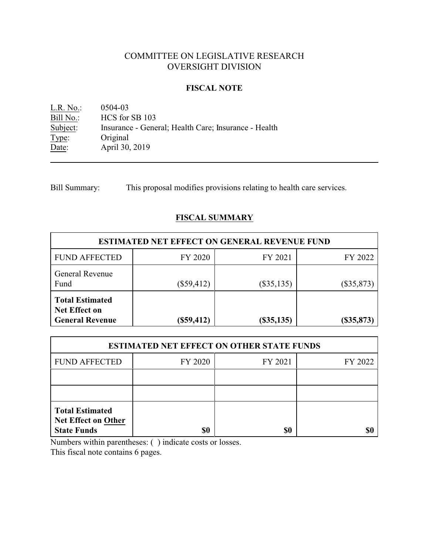# COMMITTEE ON LEGISLATIVE RESEARCH OVERSIGHT DIVISION

### **FISCAL NOTE**

<u>L.R. No.</u>: 0504-03<br>
<u>Bill No.</u>: HCS for Bill No.: HCS for SB 103<br>Subject: Insurance - Gene Insurance - General; Health Care; Insurance - Health Type: Original<br>Date: April 30, April 30, 2019

Bill Summary: This proposal modifies provisions relating to health care services.

## **FISCAL SUMMARY**

| <b>ESTIMATED NET EFFECT ON GENERAL REVENUE FUND</b>                      |              |                  |              |  |
|--------------------------------------------------------------------------|--------------|------------------|--------------|--|
| <b>FUND AFFECTED</b>                                                     | FY 2020      | FY 2021          | FY 2022      |  |
| <b>General Revenue</b><br>Fund                                           | $(\$59,412)$ | $(\$35,135)$     | $(\$35,873)$ |  |
| <b>Total Estimated</b><br><b>Net Effect on</b><br><b>General Revenue</b> | $(\$59,412)$ | $($ \$35,135 $)$ | $(\$35,873)$ |  |

| <b>ESTIMATED NET EFFECT ON OTHER STATE FUNDS</b>                           |         |         |         |  |
|----------------------------------------------------------------------------|---------|---------|---------|--|
| <b>FUND AFFECTED</b>                                                       | FY 2020 | FY 2021 | FY 2022 |  |
|                                                                            |         |         |         |  |
|                                                                            |         |         |         |  |
| <b>Total Estimated</b><br><b>Net Effect on Other</b><br><b>State Funds</b> | \$0     | \$0     |         |  |

Numbers within parentheses: ( ) indicate costs or losses.

This fiscal note contains 6 pages.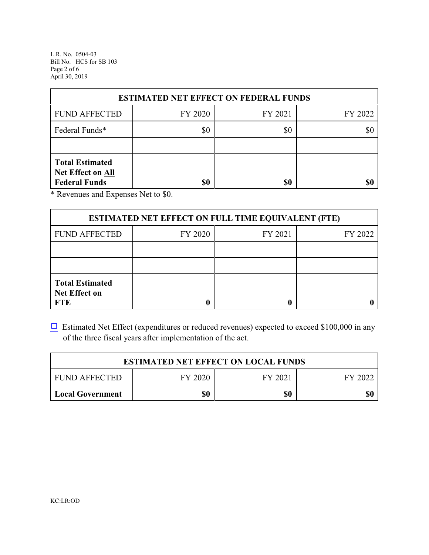L.R. No. 0504-03 Bill No. HCS for SB 103 Page 2 of 6 April 30, 2019

| <b>ESTIMATED NET EFFECT ON FEDERAL FUNDS</b>                        |         |         |         |  |
|---------------------------------------------------------------------|---------|---------|---------|--|
| <b>FUND AFFECTED</b>                                                | FY 2020 | FY 2021 | FY 2022 |  |
| Federal Funds*                                                      | \$0     | \$0     | \$0     |  |
|                                                                     |         |         |         |  |
| <b>Total Estimated</b><br>Net Effect on All<br><b>Federal Funds</b> | \$0     | \$0     |         |  |

\* Revenues and Expenses Net to \$0.

| <b>ESTIMATED NET EFFECT ON FULL TIME EQUIVALENT (FTE)</b>    |         |         |         |  |
|--------------------------------------------------------------|---------|---------|---------|--|
| <b>FUND AFFECTED</b>                                         | FY 2020 | FY 2021 | FY 2022 |  |
|                                                              |         |         |         |  |
|                                                              |         |         |         |  |
| <b>Total Estimated</b><br><b>Net Effect on</b><br><b>FTE</b> |         |         |         |  |

 $\Box$  Estimated Net Effect (expenditures or reduced revenues) expected to exceed \$100,000 in any of the three fiscal years after implementation of the act.

| <b>ESTIMATED NET EFFECT ON LOCAL FUNDS</b> |         |         |         |
|--------------------------------------------|---------|---------|---------|
| <b>FUND AFFECTED</b>                       | FY 2020 | FY 2021 | FY 2022 |
| <b>Local Government</b>                    | \$0     | \$0     | \$0     |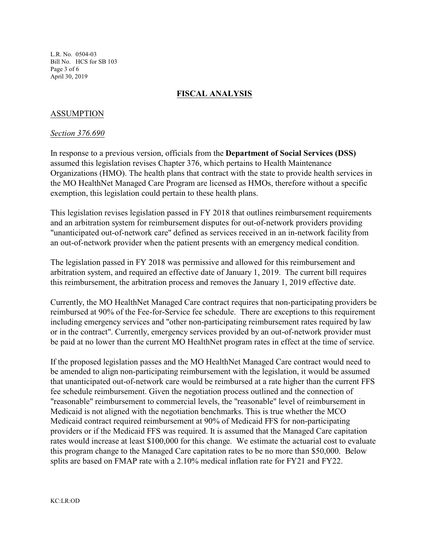L.R. No. 0504-03 Bill No. HCS for SB 103 Page 3 of 6 April 30, 2019

## **FISCAL ANALYSIS**

## ASSUMPTION

#### *Section 376.690*

In response to a previous version, officials from the **Department of Social Services (DSS)** assumed this legislation revises Chapter 376, which pertains to Health Maintenance Organizations (HMO). The health plans that contract with the state to provide health services in the MO HealthNet Managed Care Program are licensed as HMOs, therefore without a specific exemption, this legislation could pertain to these health plans.

This legislation revises legislation passed in FY 2018 that outlines reimbursement requirements and an arbitration system for reimbursement disputes for out-of-network providers providing "unanticipated out-of-network care" defined as services received in an in-network facility from an out-of-network provider when the patient presents with an emergency medical condition.

The legislation passed in FY 2018 was permissive and allowed for this reimbursement and arbitration system, and required an effective date of January 1, 2019. The current bill requires this reimbursement, the arbitration process and removes the January 1, 2019 effective date.

Currently, the MO HealthNet Managed Care contract requires that non-participating providers be reimbursed at 90% of the Fee-for-Service fee schedule. There are exceptions to this requirement including emergency services and "other non-participating reimbursement rates required by law or in the contract". Currently, emergency services provided by an out-of-network provider must be paid at no lower than the current MO HealthNet program rates in effect at the time of service.

If the proposed legislation passes and the MO HealthNet Managed Care contract would need to be amended to align non-participating reimbursement with the legislation, it would be assumed that unanticipated out-of-network care would be reimbursed at a rate higher than the current FFS fee schedule reimbursement. Given the negotiation process outlined and the connection of "reasonable" reimbursement to commercial levels, the "reasonable" level of reimbursement in Medicaid is not aligned with the negotiation benchmarks. This is true whether the MCO Medicaid contract required reimbursement at 90% of Medicaid FFS for non-participating providers or if the Medicaid FFS was required. It is assumed that the Managed Care capitation rates would increase at least \$100,000 for this change. We estimate the actuarial cost to evaluate this program change to the Managed Care capitation rates to be no more than \$50,000. Below splits are based on FMAP rate with a 2.10% medical inflation rate for FY21 and FY22.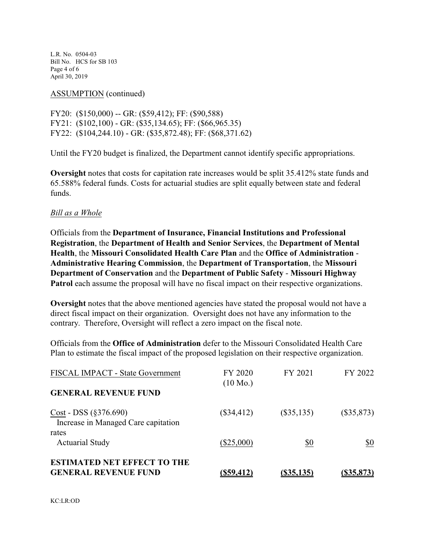L.R. No. 0504-03 Bill No. HCS for SB 103 Page 4 of 6 April 30, 2019

#### ASSUMPTION (continued)

FY20: (\$150,000) -- GR: (\$59,412); FF: (\$90,588) FY21: (\$102,100) - GR: (\$35,134.65); FF: (\$66,965.35) FY22: (\$104,244.10) - GR: (\$35,872.48); FF: (\$68,371.62)

Until the FY20 budget is finalized, the Department cannot identify specific appropriations.

**Oversight** notes that costs for capitation rate increases would be split 35.412% state funds and 65.588% federal funds. Costs for actuarial studies are split equally between state and federal funds.

### *Bill as a Whole*

Officials from the **Department of Insurance, Financial Institutions and Professional Registration**, the **Department of Health and Senior Services**, the **Department of Mental Health**, the **Missouri Consolidated Health Care Plan** and the **Office of Administration** - **Administrative Hearing Commission**, the **Department of Transportation**, the **Missouri Department of Conservation** and the **Department of Public Safety** - **Missouri Highway Patrol** each assume the proposal will have no fiscal impact on their respective organizations.

**Oversight** notes that the above mentioned agencies have stated the proposal would not have a direct fiscal impact on their organization. Oversight does not have any information to the contrary. Therefore, Oversight will reflect a zero impact on the fiscal note.

Officials from the **Office of Administration** defer to the Missouri Consolidated Health Care Plan to estimate the fiscal impact of the proposed legislation on their respective organization.

| <b>ESTIMATED NET EFFECT TO THE</b><br><b>GENERAL REVENUE FUND</b>       | (\$59,412)                    | $($ \$35,135 $)$ | $($ \$35,873) |
|-------------------------------------------------------------------------|-------------------------------|------------------|---------------|
| <b>Actuarial Study</b>                                                  | $(\$25,000)$                  | \$0              | \$0           |
| $Cost - DSS (§376.690)$<br>Increase in Managed Care capitation<br>rates | $(\$34,412)$                  | $(\$35,135)$     | $(\$35,873)$  |
| <b>FISCAL IMPACT - State Government</b><br><b>GENERAL REVENUE FUND</b>  | FY 2020<br>$(10 \text{ Mo.})$ | FY 2021          | FY 2022       |
|                                                                         |                               |                  |               |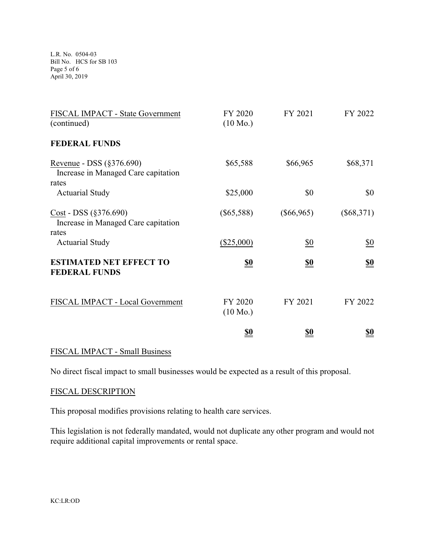L.R. No. 0504-03 Bill No. HCS for SB 103 Page 5 of 6 April 30, 2019

| FISCAL IMPACT - State Government<br>(continued)                              | FY 2020<br>$(10 \text{ Mo.})$ | FY 2021           | FY 2022           |
|------------------------------------------------------------------------------|-------------------------------|-------------------|-------------------|
| <b>FEDERAL FUNDS</b>                                                         |                               |                   |                   |
| Revenue - DSS $(\S 376.690)$<br>Increase in Managed Care capitation<br>rates | \$65,588                      | \$66,965          | \$68,371          |
| <b>Actuarial Study</b>                                                       | \$25,000                      | \$0               | \$0               |
| $Cost - DSS (§376.690)$<br>Increase in Managed Care capitation<br>rates      | $(\$65,588)$                  | $(\$66,965)$      | $(\$68,371)$      |
| <b>Actuarial Study</b>                                                       | $(\$25,000)$                  | $\underline{\$0}$ | $\underline{\$0}$ |
| <b>ESTIMATED NET EFFECT TO</b><br><b>FEDERAL FUNDS</b>                       | <u>\$0</u>                    | <u>\$0</u>        | <u>\$0</u>        |
| FISCAL IMPACT - Local Government                                             | FY 2020<br>$(10 \text{ Mo.})$ | FY 2021           | FY 2022           |
|                                                                              | <u>\$0</u>                    | <u>\$0</u>        | <u>\$0</u>        |

## FISCAL IMPACT - Small Business

No direct fiscal impact to small businesses would be expected as a result of this proposal.

## FISCAL DESCRIPTION

This proposal modifies provisions relating to health care services.

This legislation is not federally mandated, would not duplicate any other program and would not require additional capital improvements or rental space.